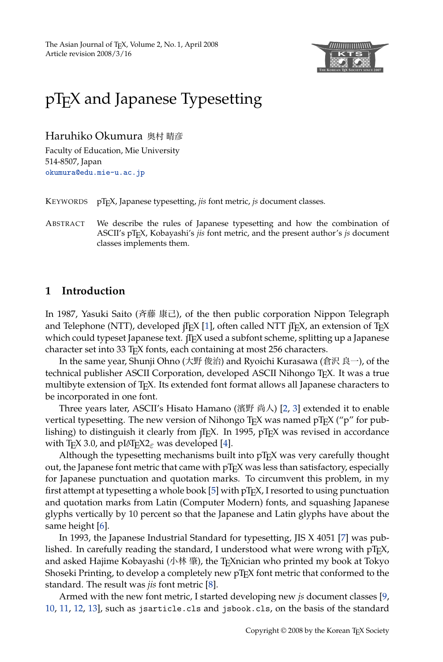The Asian Journal of TEX, Volume 2, No. 1, April 2008 Article revision 2008/3/16



# [pTEX and Japan](mailto:okumura@edu.mie-u.ac.jp?subject=Re:%20AJT%20article%20)ese Typesetting

Haruhiko Okumura 奥村 晴彦

Faculty of Education, Mie University 514-8507, Japan okumura@edu.mie-u.ac.jp

KEYWORDS pTEX, Japanese typesetting, *jis* font metric, *js* document classes.

ABSTRACT We describe the rules of Japanese typesetting and how the combination of ASCII's pTEX, Kobayashi's *jis* font metric, and the present author's *js* document classes implements them.

### **1 Introduction**

In 1987, Yasuki Saito (斉藤 康己), of the then public corporation Nippon Telegraph and Telephone (NTT), developed  $\rm{fIFX}$  [1], often called NTT  $\rm{fIFX}$ , an extension of  $\rm{TrX}$ which could typeset Japanese text.  $\text{TEX}$  used a subfont sche[m](#page-8-0)[e,](#page-8-1) splitting up a Japanese character set into 33 TEX fonts, each containing at most 256 characters.

In the same year, Shunji Ohno (大野 俊治) and Ryoichi Kurasawa (倉沢 良一), of the technical publisher ASCII Corporation, dev[el](#page-8-2)oped ASCII Nihongo TEX. It was a true multibyte extension of  $T_F X$ . Its extended font format allows all Japanese characters to be incorporated in one font.

Three years later, ASCII's Hisato Hamano (濱野 尚人) [2, 3] extended it to enable vertical typesetting. The new version of [Ni](#page-8-3)hongo T<sub>E</sub>X was named  $pTEX$  (" $p$ " for publishing) to distinguish it clearly from  $\overline{I}E$ X. In 1995,  $pTEX$  was revised in accordance with T<sub>E</sub>X 3.0, and pL<sup>AT</sup>E<sup>X2</sup>ε was developed [4].

Although [th](#page-8-4)e typesetting mechanisms built into  $pTr[X$  was very carefully thought out, the Japanese font metric that came with  $pTr[X$  was less than satisfacto[ry,](#page-8-5) especially for Japanese punctuation and quotation marks. To circumvent this problem, in my first attempt at typesetting a whole book [5] with  $pTr[X, I]$  resorted to using punctuation and quotation marks from Latin (Computer Modern) fonts, and squashing Japanese glyphs vertically by 10 percent so that t[he](#page-8-6) Japanese and Latin glyphs have about the same height [6].

[In](#page-8-9) [199](#page-8-10)[3, th](#page-8-11)e Japanese Industrial Standard for typesetting, JIS X 4051 [7] was pu[b](#page-8-7)[lish](#page-8-8)ed. In carefully reading the standard, I understood what were wrong with  $pTr X$ , and asked Hajime Kobayashi (小林 肇), the T<sub>E</sub>Xnician who printed my book at Tokyo Shoseki Printing, to develop a completely new pT<sub>E</sub>X font metric that conformed to the standard. The result was *jis* font metric [8].

Armed with the new font metric, I started developing new *js* document classes [9, 10, 11, 12, 13], such as jsarticle.cls and jsbook.cls, on the basis of the standard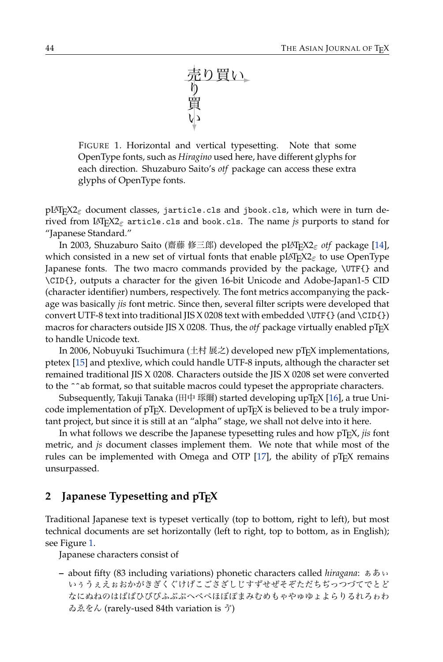<span id="page-1-0"></span>売 り り買い 買 い

FIGURE 1. Horizontal and vertical typesetting. Note that some OpenType fonts, such as *Hiragino* used here, have different glyphs for each direction. Shuzaburo Saito's *otf* package can access these extra glyphs of OpenType fonts.

pLATEX2*ε* document classes, jarticle.cls and jbook.cls, which were in turn derived from LATEX2*ε* article.cls and book.cls. The name *js* purports to stand for "Japanese Standard."

In 2003, Shuzaburo Saito (齋藤 修三郎) developed the pLATEX2*ε otf* package [14], which consisted in a new set of virtual fonts that enable pLATEX2*ε* to use OpenType Japanese fonts. The two macro commands provided by the package, \UTF{} and \CID{}, outputs a character for the given 16-bit Unicode and Adobe-Japan1-5 CID (chara[cter](#page-8-12) identifier) numbers, respectively. The font metrics accompanying the package was basically *jis* font metric. Since then, several filter scripts were developed that convert UTF-8 text into traditional JIS X 0208 text with embedded  $\Upsilon$ F{} (and  $\CID$ {}) macros for characters outside JIS X 0208. Thus, the *otf* package virtuall[y e](#page-8-13)nabled pTEX to handle Unicode text.

In 2006, Nobuyuki Tsuchimura (土村 展之) developed new pT<sub>E</sub>X implementations, ptetex [15] and ptexlive, which could handle UTF-8 inputs, although the character set remained traditional JIS X 0208. Characters outside the JIS X 0208 set were converted to the ^^ab format, so that suitable macros could ty[pese](#page-8-14)t the appropriate characters.

Subsequently, Takuji Tanaka (田中 琢爾) started developing upTEX [16], a true Unicode implementation of  $pT_FX$ . Development of upT $F_XX$  is believed to be a truly important project, but since it is still at an "alpha" stage, we shall not delve into it here.

In what follows we describe the Japanese typesetting rules and how pTEX, *jis* font metric, and *js* document classes implement them. We note that while most of the rules can be implemented with Omega and OTP  $[17]$ , the ability of  $pT<sub>F</sub>X$  remains unsurpass[ed](#page-1-0).

# **2** Japanese Typesetting and  $pTrX$

Traditional Japanese text is typeset vertically (top to bottom, right to left), but most technical documents are set horizontally (left to right, top to bottom, as in English); see Figure 1.

Japanese characters consist of

**–** about fifty (83 including variations) phonetic characters called *hiragana*: ぁあぃ いぅうぇえぉおかがきぎくぐけげこごさざしじすずせぜそぞただちぢっつづてでとど なにぬねのはばぱひびぴふぶぷへべぺほぼぽまみむめもゃやゅゆょよらりるれろゎわ ゐゑをん (rarely-used 84th variation is ゔ)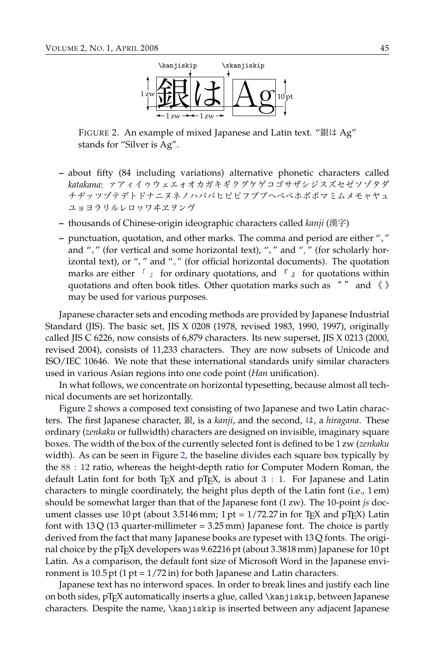<span id="page-2-0"></span>

FIGURE 2. An example of mixed Japanese and Latin text. "銀は Ag" stands for "Silver is Ag".

- **–** about fifty (84 including variations) alternative phonetic characters called *katakana*: ァアィイゥウェエォオカガキギクグケゲコゴサザシジスズセゼソゾタダ チヂッツヅテデトドナニヌネノハバパヒビピフブプヘベペホボポマミムメモャヤュ ユョヨラリルレロヮワヰヱヲンヴ
- **–** thousands of Chinese-origin ideographic characters called *kanji* (漢字)
- **–** punctuation, quotation, and other marks. The comma and period are either "、" and "。" (for vertical and some horizontal text), "," and "." (for scholarly horizontal text), or "," and "。" (for official horizontal documents). The quotation marks are either  $\lceil \cdot \rceil$  for ordinary quotations, and  $\lceil \cdot \rceil$  for quotations within quotations and often book titles. Other quotation marks such as " " and 《 》 may be used for various purposes.

Japanese character sets and encoding methods are provided by Japanese Industrial Standard (JIS). The basic set, JIS X 0208 (1978, revised 1983, 1990, 1997), originally called JIS [C](#page-2-0) 6226, now consists of 6,879 characters. Its new superset, JIS X 0213 (2000, revised 2004), consists of 11,233 characters. They are now subsets of Unicode and ISO/IEC 10646. We note that these international standards unify similar characters used in various Asian regions into one code point (*Han* unification).

In what follows, we concentr[ate](#page-2-0) on horizontal typesetting, because almost all technical documents are set horizontally.

Figure 2 shows a composed text consisting of two Japanese and two Latin characters. The first Japanese character, 銀, is a *kanji*, and the second, は, a *hiragana*. These ordinary (*zenkaku* or fullwidth) characters are designed on invisible, imaginary square boxes. The width of the box of the currently selected font is defined to be 1 zw (*zenkaku* width). As can be seen in Figure 2, the baseline divides each square box typically by the 88 : 12 ratio, whereas the height-depth ratio for Computer Modern Roman, the default Latin font for both T<sub>E</sub>X and  $p$ T<sub>E</sub>X, is about 3 : 1. For Japanese and Latin characters to mingle coordinately, the height plus depth of the Latin font (i.e., 1 em) should be somewhat larger than that of the Japanese font (1 zw). The 10-point *js* document classes use 10 pt (about 3.5146 mm; 1 pt =  $1/72.27$  in for T<sub>E</sub>X and pT<sub>E</sub>X) Latin font with  $13Q$  (13 quarter-millimeter = 3.25 mm) Japanese font. The choice is partly derived from the fact that many Japanese books are typeset with 13 Q fonts. The original choice by the pT<sub>E</sub>X developers was  $9.62216$  pt (about 3.3818 mm) Japanese for 10 pt Latin. As a comparison, the default font size of Microsoft Word in the Japanese environment is  $10.5$  pt (1 pt =  $1/72$  in) for both Japanese and Latin characters.

Japanese text has no interword spaces. In order to break lines and justify each line on both sides, pTEX automatically inserts a glue, called \kanjiskip, between Japanese characters. Despite the name, \kanjiskip is inserted between any adjacent Japanese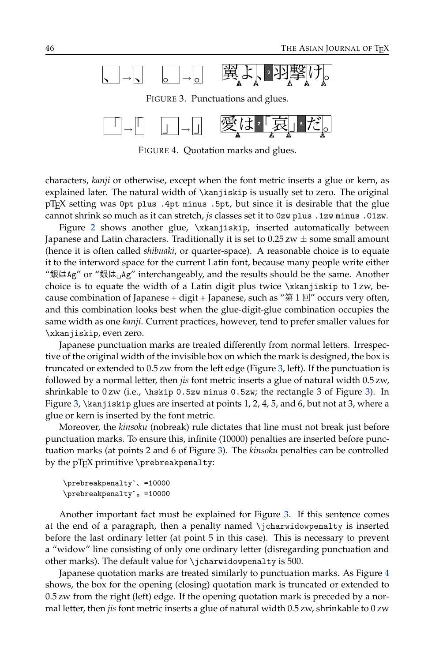<span id="page-3-0"></span>

<span id="page-3-1"></span>FIGURE 4. Quotation marks and glues.

characters, *kanji* or otherwise, except when the font metric inserts a glue or kern, as explained later. The natural width of \kanjiskip is usually set to zero. The original pTEX setting was 0pt plus .4pt minus .5pt, but since it is desirable that the glue cannot shrink so much as it can stretch, *js* classes set it to 0zw plus .1zw minus .01zw.

Figure 2 shows another glue, \xkanjiskip, inserted automatically between Japanese and Latin characters. Traditionally it is set to 0.25 zw *±* some small amount (hence it is often called *shibuaki*, or quarter-space). A reasonable choice is to equate it to the interword space for the current Latin font, because many people write either "銀はAg" or "銀は $\mu$ g" interchangeably, and the results should be the same. Another choice is to equate the width of a Latin digit plus twice \xkanjiskip to 1 zw, because combination of Japanese + digit + Japanese, such a[s "](#page-3-0)第1回" occurs very often, and this combination looks best when the glue-digit-glue combination occupies the same width as one *kanji*. Current practices, however, tend to prefer smaller val[ue](#page-3-0)s for \xkan[jis](#page-3-0)kip, even zero.

Japanese punctuation marks are treated differently from normal letters. Irrespective of the original width of the invisible box on which the mark is designed, the box is truncated or extended to 0.5 zw from the left edge (Figure 3, left). If the punctuation is followed by a normal letter, then *jis* font [met](#page-3-0)ric inserts a glue of natural width 0.5 zw, shrinkable to  $0 \, \text{zw}$  (i.e.,  $\hbar \$  0.5zw minus 0.5zw; the rectangle 3 of Figure 3). In Figure 3, \kanjiskip glues are inserted at points 1, 2, 4, 5, and 6, but not at 3, where a glue or kern is inserted by the font metric.

Moreover, the *kinsoku* (nobreak) rule dictates that line must not break just before punctuation marks. To ensure this, infinite (10000) penalties are inserted before punctuation marks (at points 2 and 6 of Figure 3). The *kinsoku* [pe](#page-3-0)nalties can be controlled by the  $pT<sub>F</sub>X$  primitive \prebreakpenalty:

```
\prebreakpenalty`、=10000
\prebreakpenalty`。=10000
```
Another important fact must be explained for Figure 3. If this sentence com[es](#page-3-1) at the end of a paragraph, then a penalty named \jcharwidowpenalty is inserted before the last ordinary letter (at point 5 in this case). This is necessary to prevent a "widow" line consisting of only one ordinary letter (disregarding punctuation and other marks). The default value for \jcharwidowpenalty is 500.

Japanese quotation marks are treated similarly to punctuation marks. As Figure 4 shows, the box for the opening (closing) quotation mark is truncated or extended to 0.5 zw from the right (left) edge. If the opening quotation mark is preceded by a normal letter, then *jis* font metric inserts a glue of natural width 0.5 zw, shrinkable to 0 zw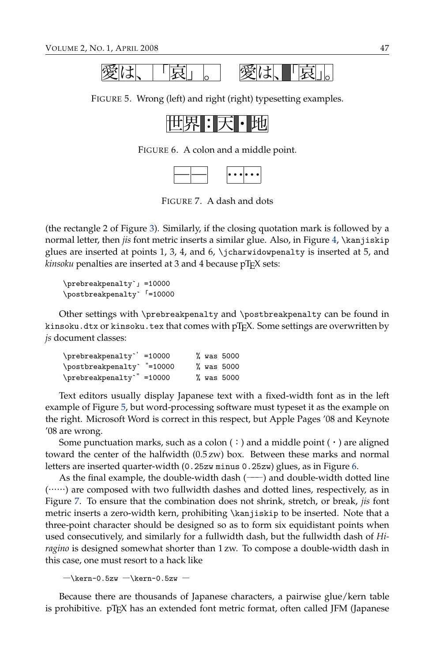<span id="page-4-0"></span>

FIGURE 5. Wrong (left) and right (right) typesetting examples.

<span id="page-4-2"></span><span id="page-4-1"></span>

|  |  |  |  | HU. |
|--|--|--|--|-----|
|--|--|--|--|-----|

FIGURE 6. A colon and a middle point.

| $\left  \bullet\ \bullet\ \bullet   \bullet\ \bullet\ \bullet   \right $ |
|--------------------------------------------------------------------------|
|--------------------------------------------------------------------------|

FIGURE 7. A dash and dots

(the rectangle 2 of Figure 3). Similarly, if the closing quotation mark is followed by a normal letter, then *jis* font metric inserts a similar glue. Also, in Figure 4, \kanjiskip glues are inserted at points 1, 3, 4, and 6, \jcharwidowpenalty is inserted at 5, and *kinsoku* penalties are inserted at 3 and 4 because pT<sub>F</sub>X sets:

```
\prebreakpenalty`」=10000
\postbreakpenalty`「=10000
```
Other settings with \prebreakpenalty and \postbreakpenalty can be found in kinsoku.dtx or kinsoku.tex that comes with pT<sub>E</sub>X. Some settings are overwritten by *js* document class[es:](#page-4-0)

| \prebreakpenalty` =10000   |  | % was 5000 |
|----------------------------|--|------------|
| \postbreakpenalty` "=10000 |  | % was 5000 |
| \prebreakpenalty`" =10000  |  | % was 5000 |

Text editors usually display Japanese text with a fixed-width font as [in](#page-4-1) the left example of Figure 5, but word-processing software must typeset it as the example on the right. Microsoft Word is correct in this respect, but Apple Pages '08 and Keynote '08 are [w](#page-4-2)rong.

Some punctuation marks, such as a colon  $(\cdot)$  and a middle point  $(\cdot)$  are aligned toward the center of the halfwidth (0.5 zw) box. Between these marks and normal letters are inserted quarter-width (0.25zw minus 0.25zw) glues, as in Figure 6.

As the final example, the double-width dash  $(---)$  and double-width dotted line (……) are composed with two fullwidth dashes and dotted lines, respectively, as in Figure 7. To ensure that the combination does not shrink, stretch, or break, *jis* font metric inserts a zero-width kern, prohibiting \kanjiskip to be inserted. Note that a three-point character should be designed so as to form six equidistant points when used consecutively, and similarly for a fullwidth dash, but the fullwidth dash of *Hiragino* is designed somewhat shorter than 1 zw. To compose a double-width dash in this case, one must resort to a hack like

 $-\ker$ -0.5zw  $-\ker$ -0.5zw –

Because there are thousands of Japanese characters, a pairwise glue/kern table is prohibitive.  $pT_FX$  has an extended font metric format, often called JFM (Japanese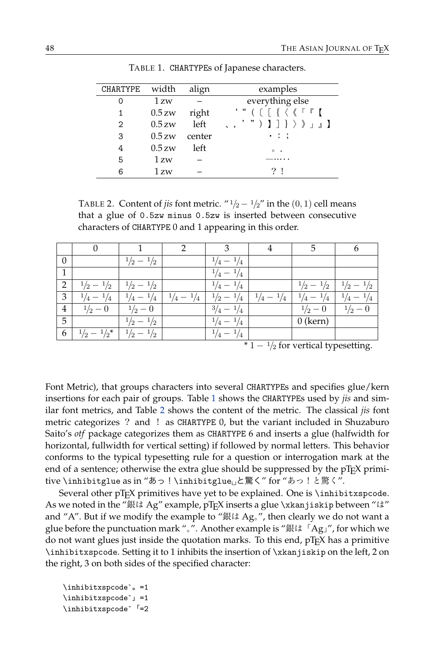| CHARTYPE | width    | align  | examples                                                                                                                                                                                                                                                                                                                                        |
|----------|----------|--------|-------------------------------------------------------------------------------------------------------------------------------------------------------------------------------------------------------------------------------------------------------------------------------------------------------------------------------------------------|
|          | 1 zw     |        | everything else                                                                                                                                                                                                                                                                                                                                 |
|          | $0.5$ zw | right  | $\cdot$ " ( $\left[$ $\left[$ $\left[$ $\left[$ $\left[$ $\left[$ $\left[$ $\right]$ $\left[$ $\right]$ $\left[$ $\left[$ $\left[$ $\left[$ $\left[$ $\left[$ $\left[$ $\left[$ $\right]$ $\left[$ $\right]$ $\right]$ $\left[$ $\left[$ $\left[$ $\left[$ $\left[$ $\left[$ $\left[$ $\left[$ $\left[$ $\left[$ $\left[$ $\left[$ $\left[$ $\$ |
| 2        | $0.5$ zw | left   | <b>(iii)</b> } } } } } <b>]</b>                                                                                                                                                                                                                                                                                                                 |
| 3        | 0.5 zw   | center | $\cdot$ : :                                                                                                                                                                                                                                                                                                                                     |
| 4        | $0.5$ zw | left   | $\circ$<br>$\cdot$                                                                                                                                                                                                                                                                                                                              |
| 5        | 1 zw     |        |                                                                                                                                                                                                                                                                                                                                                 |
| 6        | 1 zw     |        | 21                                                                                                                                                                                                                                                                                                                                              |

<span id="page-5-0"></span>TABLE 1. CHARTYPEs of Japanese characters.

TABLE 2. Content of *jis* font metric. " $\frac{1}{2} - \frac{1}{2}$ " in the (0, 1) cell means that a glue of 0.5zw minus 0.5zw is inserted between consecutive characters of CHARTYPE 0 and 1 appearing in this order.

|                        |                             |                             |                                                           |                             |  | 5                                                                                       |                             |
|------------------------|-----------------------------|-----------------------------|-----------------------------------------------------------|-----------------------------|--|-----------------------------------------------------------------------------------------|-----------------------------|
| $\boldsymbol{0}$       |                             | $\frac{1}{2} - \frac{1}{2}$ |                                                           | $\frac{1}{4} - \frac{1}{4}$ |  |                                                                                         |                             |
| 1                      |                             |                             |                                                           | $\frac{1}{4} - \frac{1}{4}$ |  |                                                                                         |                             |
| $\overline{2}$         | $\frac{1}{2} - \frac{1}{2}$ | $\frac{1}{2} - \frac{1}{2}$ |                                                           | $\frac{1}{4} - \frac{1}{4}$ |  | $\frac{1}{2} - \frac{1}{2}$                                                             | $^{1}/2$<br>$^{1}/2 -$      |
| $\mathfrak{Z}$         | $\frac{1}{4} - \frac{1}{4}$ |                             | $\frac{1}{4} - \frac{1}{4}$   $\frac{1}{4} - \frac{1}{4}$ |                             |  | $\frac{1}{2} - \frac{1}{4}$   $\frac{1}{4} - \frac{1}{4}$   $\frac{1}{4} - \frac{1}{4}$ | $\frac{1}{4} - \frac{1}{4}$ |
| $\overline{4}$         | $\frac{1}{2} - 0$           | $\frac{1}{2} - 0$           |                                                           | $\frac{3}{4} - \frac{1}{4}$ |  | $\frac{1}{2} - 0$                                                                       | $\frac{1}{2} - 0$           |
| $\overline{5}$         |                             | $\frac{1}{2} - \frac{1}{2}$ |                                                           | $\frac{1}{4} - \frac{1}{4}$ |  | $0$ (kern)                                                                              |                             |
| 6                      | $\frac{1}{2} - \frac{1}{2}$ | $\frac{1}{2} - \frac{1}{2}$ |                                                           | $\frac{1}{4} - \frac{1}{4}$ |  |                                                                                         |                             |
| $\blacksquare$<br>$-1$ |                             |                             |                                                           |                             |  |                                                                                         |                             |

\* 1 *−* <sup>1</sup>*/*<sup>2</sup> for vertical typesetting.

Font Metric), that groups characters into several CHARTYPEs and specifies glue/kern insertions for each pair of groups. Table 1 shows the CHARTYPEs used by *jis* and similar font metrics, and Table 2 shows the content of the metric. The classical *jis* font metric categorizes ? and ! as CHARTYPE 0, but the variant included in Shuzaburo Saito's *otf* package categorizes them as CHARTYPE 6 and inserts a glue (halfwidth for horizontal, fullwidth for vertical setting) if followed by normal letters. This behavior conforms to the typical typesetting rule for a question or interrogation mark at the end of a sentence; otherwise the extra glue should be suppressed by the pTEX primitive \inhibitglue as in "あっ!\inhibitglue␣と驚く" for "あっ!と驚く".

Several other pTEX primitives have yet to be explained. One is \inhibitxspcode. As we noted in the "銀は Ag" example, pTEX inserts a glue \xkanjiskip between "は" and "A". But if we modify the example to "銀は Ag<sub>o</sub>", then clearly we do not want a glue before the punctuation mark "。". Another example is "銀は「Ag」", for which we do not want glues just inside the quotation marks. To this end, pTEX has a primitive \inhibitxspcode. Setting it to 1 inhibits the insertion of \xkanjiskip on the left, 2 on the right, 3 on both sides of the specified character:

\inhibitxspcode`。=1 \inhibitxspcode`」=1 \inhibitxspcode`「=2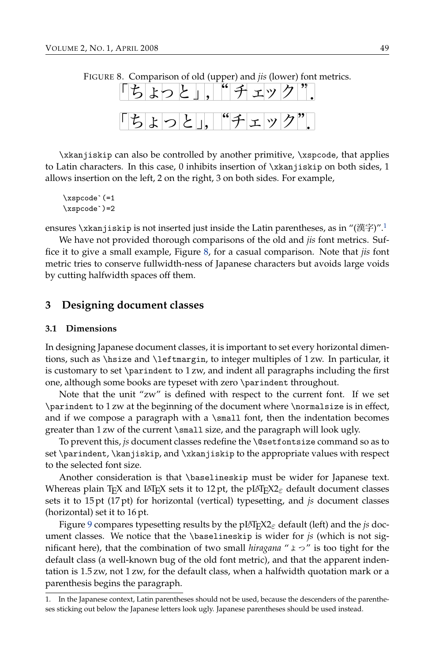<span id="page-6-0"></span>

\xkanjiskip can also be controlled by another primitive, \xspcode, that applies to Latin characters. In this case, 0 inhibits insertion of \xkanjiskip on both sides, 1 allows insertion on the left, 2 on the ri[ght](#page-6-0), 3 on both sides. For example,

\xspcode`(=1 \xspcode`)=2

ensures \xkanjiskip is not inserted just inside the Latin parentheses, as in " $(\ddot{\mathbb{E}}\ddot{\mathbb{F}})$ ".<sup>1</sup>

We have not provided thorough comparisons of the old and *jis* font metrics. Suffice it to give a small example, Figure 8, for a casual comparison. Note that *jis* font metric tries to conserve fullwidth-ness of Japanese characters but avoids large voids by cutting halfwidth spaces off them.

# **3 Designing document classes**

#### **3.1 Dimensions**

In designing Japanese document classes, it is important to set every horizontal dimentions, such as \hsize and \leftmargin, to integer multiples of 1 zw. In particular, it is customary to set \parindent to 1 zw, and indent all paragraphs including the first one, although some books are typeset with zero \parindent throughout.

Note that the unit "zw" is defined with respect to the current font. If we set \parindent to 1 zw at the beginning of the document where \normalsize is in effect, and if we compose a paragraph with a  $\smallsetminus$  small font, then the indentation becomes greater than 1 zw of the current \small size, and the paragraph will look ugly.

To prevent this, *js* document classes redefine the \@setfontsize command so as to set \pari[nde](#page-7-0)nt, \kanjiskip, and \xkanjiskip to the appropriate values with respect to the selected font size.

Another consideration is that \baselineskip must be wider for Japanese text. Whereas plain T<sub>E</sub>X and L<sup>AT</sup>EX sets it to 12 pt, the pLATEX2<sub>ε</sub> default document classes sets it to 15 pt (17 pt) for horizontal (vertical) typesetting, and *js* document classes (horizontal) set it to 16 pt.

Figure 9 compares typesetting results by the pLATEX2*ε* default (left) and the *js* document classes. We notice that the \baselineskip is wider for *js* (which is not significant here), that the combination of two small *hiragana* "ょっ" is too tight for the default class (a well-known bug of the old font metric), and that the apparent indentation is 1.5 zw, not 1 zw, for the default class, when a halfwidth quotation mark or a parenthesis begins the paragraph.

<sup>1.</sup> In the Japanese context, Latin parentheses should not be used, because the descenders of the parentheses sticking out below the Japanese letters look ugly. Japanese parentheses should be used instead.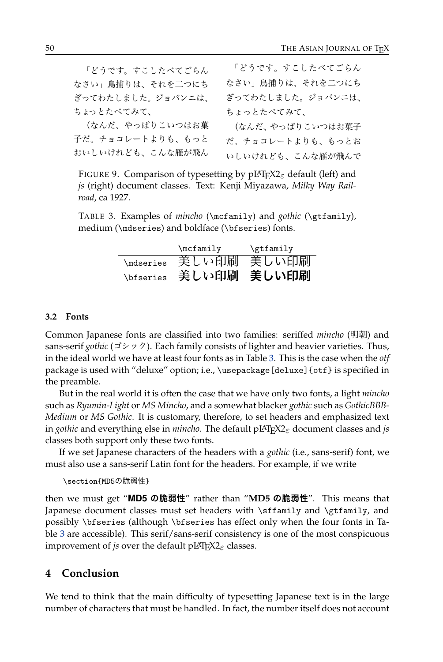<span id="page-7-0"></span>

| 「どうです。すこしたべてごらん   | 「どうです。すこしたべてごらん   |
|-------------------|-------------------|
| なさい」鳥捕りは、それを二つにち  | なさい」鳥捕りは、それを二つにち  |
| ぎってわたしました。ジョバンニは、 | ぎってわたしました。ジョバンニは、 |
| ちょっとたべてみて、        | ちょっとたべてみて、        |
| (なんだ、やっぱりこいつはお菓   | (なんだ、やっぱりこいつはお菓子  |
| 子だ。チョコレートよりも、もっと  | だ。チョコレートよりも、もっとお  |
| おいしいけれども、こんな雁が飛ん  | いしいけれども、こんな雁が飛んで  |
|                   |                   |

<span id="page-7-1"></span>FIGURE 9. Comparison of typesetting by pLATEX2*ε* default (left) and *js* (right) document classes. Text: Kenji Miyazawa, *Milky Way Railroad*, ca 1927.

TABLE 3. Examples of *mincho* (\mcfamily) and *gothic* (\gtfamily), medium (\mdseries) and boldface (\bfseries) fonts.

|                         | $\text{Imclamilv}$ | \gtfamily |
|-------------------------|--------------------|-----------|
| <i><b>Indseries</b></i> | 美しい印刷              | 美しい印刷     |
| \bfseries               | 美しい印刷              | 美しい印刷     |

#### **3.2 Fonts**

Common Japanese fonts are classified into two families: seriffed *mincho* (明朝) and sans-serif *gothic* (ゴシック). Each family consists of lighter and heavier varieties. Thus, in the ideal world we have at least four fonts as in Table 3. This is the case when the *otf* package is used with "deluxe" option; i.e., \usepackage[deluxe]{otf} is specified in the preamble.

But in the real world it is often the case that we have only two fonts, a light *mincho* such as *Ryumin-Light* or *MS Mincho*, and a somewhat blacker *gothic* such as *GothicBBB-Medium* or *MS Gothic*. It is customary, therefore, to set headers and emphasized text in *gothic* and everything else in *mincho*. The default pLATEX2*ε* document classes and *js* classes both support only these two fonts.

If we set Japanese characters of the headers with a *gothic* (i.e., sans-serif) font, we m[ust](#page-7-1) also use a sans-serif Latin font for the headers. For example, if we write

#### \section{MD5の脆弱性}

then we must get "**MD5 の脆弱性**" rather than "**MD5 の脆弱性**". This means that Japanese document classes must set headers with \sffamily and \gtfamily, and possibly \bfseries (although \bfseries has effect only when the four fonts in Table 3 are accessible). This serif/sans-serif consistency is one of the most conspicuous improvement of *js* over the default pLATEX2*ε* classes.

# **4 Conclusion**

We tend to think that the main difficulty of typesetting Japanese text is in the large number of characters that must be handled. In fact, the number itself does not account